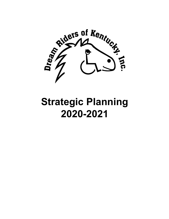

# **Strategic Planning 2020-2021**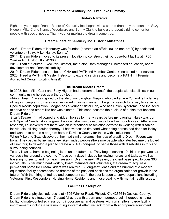#### **Dream Riders of Kentucky Inc. Executive Summary**

#### **History Narrative:**

Eighteen years ago, Dream Riders of Kentucky Inc. began with a shared dream by the founders Suzy Hidgon, Mike Clark, Nancee Woodward and Benny Clark to build a therapeutic riding center for people with special needs. Thank you for making the dream come true.

#### **Dream Riders of Kentucky Inc. Historic Milestones**

2003 Dream Riders of Kentucky was founded (became an official 501c3 non-profit) by dedicated volunteers (Suzy, Mike, Nancy, Benny,)

2014 Dream Riders moved to its present location to construct their purpose-built facility at 4705 Winkler Rd, Philpot, KY, 42366

2018 Staff structured: Executive Director, Instructor, Barn Manager + increased education, board development and financial stability

2019 Dream Riders became both a CHA and PATH Intl Member Center + increased rider services 2020 Hired a PATH Intl Master Instructor to expand services and become a PATH Intl Premier Accredited Center (Exciting times!)

#### **The Dream Riders Dream**

In 2003, both Mike Clark and Suzy Higdon had a dream to benefit the people with disabilities in our community using horses as a therapy tool.

*Mike's Dream:* "I was inspired by the life of my daughter Megan, who died at age 25, and left a legacy of helping people who were disadvantaged in some manner. I began to search for a way to serve our Special Needs population. Megan has a younger sister Erin, who has Down Syndrome, and the seed to serve her and others like her was planted. This seed became the nucleus of a plan that became Dream Riders."

*Suzy's Dream:* "I had owned and ridden horses for many years before my daughter Haley was born with Special Needs. As she grew, I noticed she was developing a bond with our horses. After some research, I discovered that there was an international association devoted to working with disabled individuals utilizing equine therapy. I had witnessed firsthand what riding horses had done for Haley and wanted to create a program here in Daviess County for those with similar needs."

When Mike and Suzy discovered they had similar dreams, the idea of creating Dream Riders was born. They began by inviting a few like-minded people (the same people who later became the Board of Directors) to develop a plan to create a 501C3 non-profit to serve those with disabilities in this and surrounding counties.

To say it was a humble beginning is an understatement. They began serving 10 children per week at various sites around the county. Those early days included borrowing horses and tack, as well as trailering horses to and from each session. Over the next 10 years, the client base grew to over 300 individuals. After much hard work by board members and volunteers, the dream to acquire a permanent home for Dream Riders was realized. A long-term lease and the building of a modern equestrian facility encompass the dreams of the past and positions the organization for growth in the future. With the hiring of trained and competent staff, the door is open to serve populations including Veterans, First Responders, Nursing Home Residents and those dealing with mental health issues.

#### **Facilities Description**

Dream Riders' physical address is at 4705 Winkler Road, Philpot, KY, 42366 in Daviess County. Dream Riders is situated on 17 beautiful acres with a permanent purpose-built therapeutic riding facility, climate-controlled classroom, indoor arena, and pastures with run shelters. Large facility improvements include a safe mounting system & effective tack room with appropriate equipment.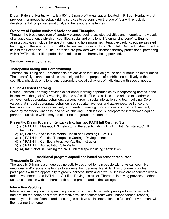## *1. Program Summary*

Dream Riders of Kentucky Inc. is a 501(c)3 non-profit organization located in Philpot, Kentucky that provides therapeutic horseback riding services to persons over the age of four with physical, developmental, cognitive, emotional, and behavioural challenges.

#### **Overview of Equine Assisted Activities and Therapies**

Through the broad spectrum of carefully planned equine assisted activities and therapies, individuals of all ages experience physical, cognitive, social and emotional life enhancing benefits. Equine assisted activities include therapeutic riding and horsemanship, interactive vaulting, equine assisted learning, and therapeutic driving. All activities are conducted by a PATH Intl. Certified Instructor in the field of their expertise. Equine Therapies are provided with a licensed therapy professional partnering with a PATH Intl. certified professional related to the therapy being provided.

#### **Services presently offered:**

#### **Therapeutic Riding and Horsemanship**

Therapeutic Riding and Horsemanship are activities that include ground and/or mounted experiences. These carefully planned activities are designed for the purpose of contributing positively to the cognitive, physical, emotional and appropriate social behaviors of individuals with special needs.

#### **Equine Assisted Learning**

Equine Assisted Learning provides experiential learning opportunities by incorporating horses in the lessons with the goal of developing life and soft skills. The life skills can be related to academic achievement, appropriate behaviors, personal growth, social interaction and team building. Core values that impact appropriate behaviors such as attentiveness and awareness, resilience and teamwork, communicating effectively, cooperation, making good choices, commitment, respect, empathy for others, kindness, and critical thinking. Each lesson is incorporated into themed equine partnered activities which may be either on the ground or mounted.

#### **Presently, Dream Riders of Kentucky Inc. has two PATH Intl Certified Staff**

- 1) (1) PATH Intl Master/CTRI Instructor in therapeutic riding (1) PATH Intl Registered/CTRI **Instructor**
- 2) (2) Equine Specialists in Mental Health and Learning (ESMHL)
- 3) (1) PATH Intl Certified Therapeutic Carriage Driving Instructor
- 4) (1) PATH Intl Certified Interactive Vaulting Instructor
- 5) (1) PATH Intl Accreditation Site Visitor
- 6) (4) Instructors in Training for PATH Intl therapeutic riding certification

#### **Additional program capabilities based on present resources:**

#### **Therapeutic Driving**

Therapeutic Driving is a unique equine activity designed to help people with physical, cognitive, emotional and/or social challenges to address their personal life skills. This program provides participants with the opportunity to groom, harness, hitch and drive. All lessons are conducted with a trained volunteer and a PATH Intl. Certified Driving Instructor. Therapeutic driving provides another unique connection with the horse both on the ground and in the carriage.

#### **Interactive Vaulting**

Interactive vaulting is a therapeutic equine activity in which the participants perform movements on and around the horse as a team. Interactive vaulting fosters teamwork, independence, respect, empathy; builds confidence and encourages positive social interaction in a fun, safe environment with their partner the horse.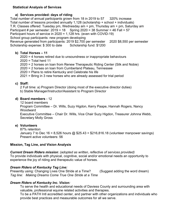#### **Statistical Analysis of Services**

#### **a) Services provided: days of riding**

Total number of annual participants grown from 18 in 2019 to 57 320% increase Total number of lessons provided annually 1,128 (scholarship + school + individuals) T.R. Classes offered: Tuesday pm, Wednesday am + pm, Thursday am + pm, Saturday am Participant # per semester:  $2019 = 18$  Spring  $2020 = 38$  Summer = 46 Fall = 57 Participant hours of service in 2020 = 1,128 hrs. (even with COVID-19) School group participants: new program developing

Revenue generated from participants: 2019 \$2,700 per semester 2020 \$8,550 per semester Scholarship expense: \$300 to date Scholarship fund: \$1200

- **b) Total Horses – 11**
	- 2020 = 4 horses retired due to unsoundness or inappropriate behaviours 2020 = Total herd 11
	- 2020 = 2 horses on loan from Renew Therapeutic Riding Center (Silk and Nobie)
	- 2020 = 2 horses on loan from Cumberland Plateau, Tennessee
	- 2020 = Plans to retire Kentucky and Celebrate his life

2021 = Bring in 3 new horses who are already assessed for trial period

#### **c) Staff:**

2 Full time: a) Program Director (doing most of the executive director duties) b) Stable Manager/Instructor/Assistant to Program Director

#### **d) Board members** - 12

12 board members

Program Committee – Dr. Wills, Suzy Higdon, Kerry Paape, Hannah Rogers, Nancy Woodward

Executive Committee – Chair Dr. Wills, Vice Chair Suzy Higdon, Treasurer Johnna Webb, Secretary Molly Gross

## **e) Volunteers**

87% retention January 7 to Dec 16 = 8,526 hours  $@$  \$25.43 = \$216,816.18 (volunteer manpower savings) Present active volunteers: 56

## **Mission, Tag Line, and Vision Analysis**

## *Current Dream Riders mission: (adopted as written, reflective of services provided)*

To provide individuals with physical, cognitive, social and/or emotional needs an opportunity to experience the joy of riding and therapeutic value of horses.

## *Dream Riders of Kentucky Tag Line:*

Presently using: Changing Lives One Stride at a Time? (Suggest adding the word dream) *Tag line: Making Dreams Come True One Stride at a Time*

## *Dream Riders of Kentucky Inc. Vision:*

To serve the health and educational needs of Daviess County and surrounding area with valuable, professional equine related activities and therapies.

To be a PATH Intl accredited center, and partner with other organizations and individuals who provide best practices and measurable outcomes for all we serve.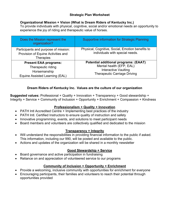## **Strategic Plan Worksheet**

## **Organizational Mission + Vision (What is Dream Riders of Kentucky Inc.)**

To provide individuals with physical, cognitive, social and/or emotional needs an opportunity to experience the joy of riding and therapeutic value of horses.

| Does the Mission represent the<br>organization?                                                      | <b>Supportive information for Strategic Planning</b>                                                                                           |
|------------------------------------------------------------------------------------------------------|------------------------------------------------------------------------------------------------------------------------------------------------|
| Participants and purpose of mission:<br>Provision of Equine Activities and<br><b>Therapies</b>       | Physical, Cognitive, Social, Emotion benefits to<br>individuals with special needs.                                                            |
| <b>Present EAA programs:</b><br>Therapeutic riding<br>Horsemanship<br>Equine Assisted Learning (EAL) | <b>Potential additional programs: (EAAT)</b><br>Mental health (EFP, EAL)<br><b>Interactive Vaulting</b><br><b>Therapeutic Carriage Driving</b> |

## **Dream Riders of Kentucky Inc. Values are the culture of our organization**

**Suggested values:** Professional + Quality + Innovation + Transparency + Good stewardship + Integrity + Service + Community of Inclusion + Opportunity + Enrichment + Compassion + Kindness

#### **Professionalism + Quality + Innovation**

- PATH Intl Accredited Centre + Implementing best practices of the industry
- PATH Intl. Certified Instructors to ensure quality of instruction and safety
- Innovative programming, events, and solutions to meet participant needs
- Board members and volunteers are collectively qualified and dedicated to the mission

## **Transparency + Integrity**

- Will understand the responsibilities in providing financial information to the public if asked. This information, including our 990, will be posted and available to the public.
- Actions and updates of the organization will be shared in a monthly newsletter

## **Good Stewardship + Service**

- Board governance and active participation in fundraising
- Reliance on and appreciation of volunteered service to our programs

#### **Community of Inclusion + Opportunity + Enrichment**

- Provide a welcoming, inclusive community with opportunities for enrichment for everyone
- Encouraging participants, their families and volunteers to reach their potential through opportunities provided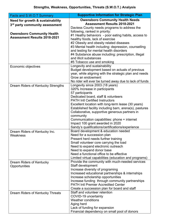| Facts and S.W.O.T Summary           | <b>Supportive Information for Strategic Plan</b>                                         |
|-------------------------------------|------------------------------------------------------------------------------------------|
| Need for growth & sustainability    | <b>Owensboro Community Health Needs</b>                                                  |
| 3rd party community assessment      | <b>Assessment Results 2018-2021</b>                                                      |
|                                     | Daviess County needs programs to address the                                             |
| <b>Owensboro Community Health</b>   | following, ranked in priority:                                                           |
| <b>Assessment Results 2018-2021</b> | #1 Heathy behaviors - poor eating habits, access to                                      |
|                                     | healthy foods, lack of exercise<br>#2 Obesity and obesity related diseases               |
|                                     | #3 Mental health including: depression, counselling                                      |
|                                     | and testing for mental health disorders                                                  |
|                                     | #4 Substance abuse including: prescription, illegal                                      |
|                                     | and illicit substances                                                                   |
|                                     | #5 Tobacco use and smoking                                                               |
| Economic objectives                 | Longevity and sustainability                                                             |
|                                     | Budget development based on actuals of previous                                          |
|                                     | year, while aligning with the strategic plan and needs                                   |
|                                     | Grow an endowment                                                                        |
|                                     | No rider will ever be turned away due to lack of funds                                   |
| Dream Riders of Kentucky Strengths  | Longevity since 2003 (18 years)                                                          |
|                                     | 320% Increase in participants<br>57 participants                                         |
|                                     | Dedicated board, staff & volunteers                                                      |
|                                     | <b>PATH Intl Certified Instructors</b>                                                   |
|                                     | Excellent location with long-term lease (30 years)                                       |
|                                     | Established facility including barn, arena(s), pastures                                  |
|                                     | Collaborative, supportive generous partners in                                           |
|                                     | community                                                                                |
|                                     | Communication capabilities: phone + internet                                             |
|                                     | Impact 100 grant awarded in 2020                                                         |
|                                     | Sandy's qualifications/certifications/experience<br>Board development & education needed |
| Dream Riders of Kentucky Inc.       | Need for a succession plan                                                               |
| Weakness                            | Present herd needs further training                                                      |
|                                     | Small volunteer core carrying the load                                                   |
|                                     | Need to expand electronic outreach                                                       |
|                                     | Need to expand donor base                                                                |
|                                     | Need a functional office to be effective                                                 |
|                                     | Limited virtual capabilities (education and programs)                                    |
| Dream Riders of Kentucky            | Provide the community with much-needed services                                          |
| Opportunities                       | Staff development                                                                        |
|                                     | Increase diversity of programing<br>Increased educational partnerships & internships     |
|                                     | Increase scholarship opportunities                                                       |
|                                     | Increase funding through community partnerships                                          |
|                                     | <b>PATH Intl Premier Accredited Center</b>                                               |
|                                     | Create a succession plan for board and staff                                             |
| Dream Riders of Kentucky Threats    | Staff and volunteer retention                                                            |
|                                     | COVID-19 uncertainty                                                                     |
|                                     | <b>Weather conditions</b>                                                                |
|                                     | Aging herd                                                                               |
|                                     | Lack of funding for expansion                                                            |
|                                     | Financial dependency on small pool of donors                                             |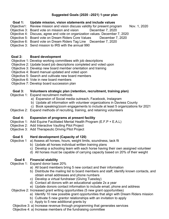# **Suggested Goals (2020 –2021) 1-year plan**

#### **Goal 1: Update mission, vision statements and include values**

- Objective1: Review mission and vision discuss validity for present program Nov. 1, 2020
- Objective 3: Board vote on mission and vision December 7, 2020
- Objective 4: Discuss, agree and vote on organization values. December 7, 2020
- Objective 5: Board vote on Dream Riders Core Values December 7, 2020
- Objective 6: Board vote on Dream Riders Tag Line December 7, 2020
- Objective 3: Send mission to IRS with the annual 990

## **Goal 2: Board development**

- Objective 1: Develop working committees with job descriptions
- Objective 2: Update board job descriptions completed and voted upon
- Objective 3: Develop new board member orientation and training
- Objective 4: Board manual updated and voted upon
- Objective 5: Search and cultivate new board members
- Objective 6: Vote in new board members
- Objective 7: Develop board succession plan

## **Goal 3: Volunteers strategic plan (retention, recruitment, training plan)**

- Objective 1: Expand recruitment methods
	- a) Expansion of Social media outreach, Facebook, Instagram
	- b) Update all information with volunteer organizations in Daviess County
	- c) Book speaking/zoom engagements to include at least 5 organizations for 2021
- Objective 2: Expand methods of recruiting, training, and retaining volunteers

## **Goal 4: Expansion of programs at present facility**

- Objective 1: Add Equine Facilitated Mental Health Program (E.F.P + E.A.L)
- Objective 2: Add Interactive Vaulting Pilot Project
- Objective 3: Add Therapeutic Driving Pilot Project

## **Goal 5 Herd development (Capacity of 120)**

- Objective 1 a) Assess all horses, hours, weight limits, soundness, tack fit
	- b) Update all horses individual written training plans
	- c) Develop a schooling team with each horse having their own assigned volunteer
	- d) All horses must be capable of carrying capacity based on 20% of their weight

## **Goal 6 Financial stability**

#### Objective 1: Expand donor base 20%

- a) All board members bring 5 new contact and their information
- b) Distribute the mailing list to board members and staff, identify known contacts, and obtain email addresses and phone numbers
- c) Develop a virtual fundraiser (Giving Tuesday)
- d) Contact all donors with an educational update 2x a year
- e) Update donors contact information to include email, phone and address
- Objective 2: Increased grant writing opportunities (5 new grant opportunities)
	- a) Identify 10 new possible grant opportunities that align with Dream Riders mission
	- b) Cultivate 5 new grantor relationships with an invitation to apply
	- c) Apply to 5 new additional grants by
- Objective 3: a) Increase revenue through programming that generates services
- Objective 4: a) Increase members of the fundraising committee